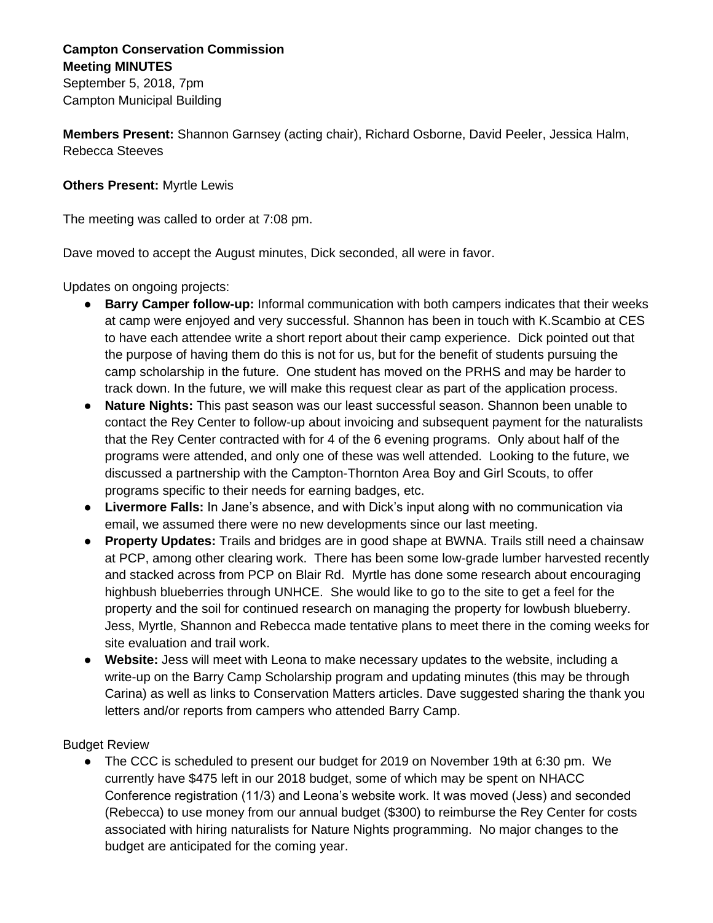## **Campton Conservation Commission Meeting MINUTES**

September 5, 2018, 7pm Campton Municipal Building

**Members Present:** Shannon Garnsey (acting chair), Richard Osborne, David Peeler, Jessica Halm, Rebecca Steeves

## **Others Present:** Myrtle Lewis

The meeting was called to order at 7:08 pm.

Dave moved to accept the August minutes, Dick seconded, all were in favor.

Updates on ongoing projects:

- **Barry Camper follow-up:** Informal communication with both campers indicates that their weeks at camp were enjoyed and very successful. Shannon has been in touch with K.Scambio at CES to have each attendee write a short report about their camp experience. Dick pointed out that the purpose of having them do this is not for us, but for the benefit of students pursuing the camp scholarship in the future. One student has moved on the PRHS and may be harder to track down. In the future, we will make this request clear as part of the application process.
- **Nature Nights:** This past season was our least successful season. Shannon been unable to contact the Rey Center to follow-up about invoicing and subsequent payment for the naturalists that the Rey Center contracted with for 4 of the 6 evening programs. Only about half of the programs were attended, and only one of these was well attended. Looking to the future, we discussed a partnership with the Campton-Thornton Area Boy and Girl Scouts, to offer programs specific to their needs for earning badges, etc.
- **Livermore Falls:** In Jane's absence, and with Dick's input along with no communication via email, we assumed there were no new developments since our last meeting.
- **Property Updates:** Trails and bridges are in good shape at BWNA. Trails still need a chainsaw at PCP, among other clearing work. There has been some low-grade lumber harvested recently and stacked across from PCP on Blair Rd. Myrtle has done some research about encouraging highbush blueberries through UNHCE. She would like to go to the site to get a feel for the property and the soil for continued research on managing the property for lowbush blueberry. Jess, Myrtle, Shannon and Rebecca made tentative plans to meet there in the coming weeks for site evaluation and trail work.
- **Website:** Jess will meet with Leona to make necessary updates to the website, including a write-up on the Barry Camp Scholarship program and updating minutes (this may be through Carina) as well as links to Conservation Matters articles. Dave suggested sharing the thank you letters and/or reports from campers who attended Barry Camp.

Budget Review

● The CCC is scheduled to present our budget for 2019 on November 19th at 6:30 pm. We currently have \$475 left in our 2018 budget, some of which may be spent on NHACC Conference registration (11/3) and Leona's website work. It was moved (Jess) and seconded (Rebecca) to use money from our annual budget (\$300) to reimburse the Rey Center for costs associated with hiring naturalists for Nature Nights programming. No major changes to the budget are anticipated for the coming year.